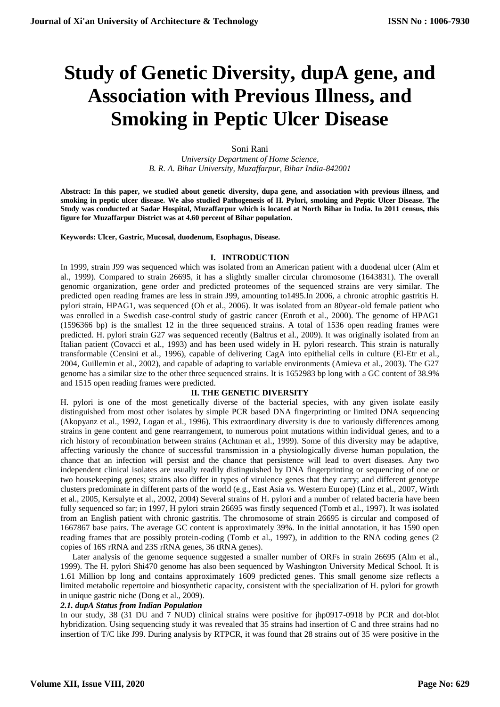# **Study of Genetic Diversity, dupA gene, and Association with Previous Illness, and Smoking in Peptic Ulcer Disease**

### Soni Rani *University Department of Home Science, B. R. A. Bihar University, Muzaffarpur, Bihar India-842001*

**Abstract: In this paper, we studied about genetic diversity, dupa gene, and association with previous illness, and smoking in peptic ulcer disease. We also studied Pathogenesis of H. Pylori, smoking and Peptic Ulcer Disease. The Study was conducted at Sadar Hospital, Muzaffarpur which is located at North Bihar in India. In 2011 census, this figure for Muzaffarpur District was at 4.60 percent of Bihar population.**

**Keywords: Ulcer, Gastric, Mucosal, duodenum, Esophagus, Disease.**

#### **I. INTRODUCTION**

In 1999, strain J99 was sequenced which was isolated from an American patient with a duodenal ulcer (Alm et al., 1999). Compared to strain 26695, it has a slightly smaller circular chromosome (1643831). The overall genomic organization, gene order and predicted proteomes of the sequenced strains are very similar. The predicted open reading frames are less in strain J99, amounting to1495.In 2006, a chronic atrophic gastritis H. pylori strain, HPAG1, was sequenced (Oh et al., 2006). It was isolated from an 80year-old female patient who was enrolled in a Swedish case-control study of gastric cancer (Enroth et al., 2000). The genome of HPAG1 (1596366 bp) is the smallest 12 in the three sequenced strains. A total of 1536 open reading frames were predicted. H. pylori strain G27 was sequenced recently (Baltrus et al., 2009). It was originally isolated from an Italian patient (Covacci et al., 1993) and has been used widely in H. pylori research. This strain is naturally transformable (Censini et al., 1996), capable of delivering CagA into epithelial cells in culture (El-Etr et al., 2004, Guillemin et al., 2002), and capable of adapting to variable environments (Amieva et al., 2003). The G27 genome has a similar size to the other three sequenced strains. It is 1652983 bp long with a GC content of 38.9% and 1515 open reading frames were predicted.

# **II. THE GENETIC DIVERSITY**

H. pylori is one of the most genetically diverse of the bacterial species, with any given isolate easily distinguished from most other isolates by simple PCR based DNA fingerprinting or limited DNA sequencing (Akopyanz et al., 1992, Logan et al., 1996). This extraordinary diversity is due to variously differences among strains in gene content and gene rearrangement, to numerous point mutations within individual genes, and to a rich history of recombination between strains (Achtman et al., 1999). Some of this diversity may be adaptive, affecting variously the chance of successful transmission in a physiologically diverse human population, the chance that an infection will persist and the chance that persistence will lead to overt diseases. Any two independent clinical isolates are usually readily distinguished by DNA fingerprinting or sequencing of one or two housekeeping genes; strains also differ in types of virulence genes that they carry; and different genotype clusters predominate in different parts of the world (e.g., East Asia vs. Western Europe) (Linz et al., 2007, Wirth et al., 2005, Kersulyte et al., 2002, 2004) Several strains of H. pylori and a number of related bacteria have been fully sequenced so far; in 1997, H pylori strain 26695 was firstly sequenced (Tomb et al., 1997). It was isolated from an English patient with chronic gastritis. The chromosome of strain 26695 is circular and composed of 1667867 base pairs. The average GC content is approximately 39%. In the initial annotation, it has 1590 open reading frames that are possibly protein-coding (Tomb et al., 1997), in addition to the RNA coding genes (2 copies of 16S rRNA and 23S rRNA genes, 36 tRNA genes).

Later analysis of the genome sequence suggested a smaller number of ORFs in strain 26695 (Alm et al., 1999). The H. pylori Shi470 genome has also been sequenced by Washington University Medical School. It is 1.61 Million bp long and contains approximately 1609 predicted genes. This small genome size reflects a limited metabolic repertoire and biosynthetic capacity, consistent with the specialization of H. pylori for growth in unique gastric niche (Dong et al., 2009).

# *2.1. dupA Status from Indian Population*

In our study, 38 (31 DU and 7 NUD) clinical strains were positive for jhp0917-0918 by PCR and dot-blot hybridization. Using sequencing study it was revealed that 35 strains had insertion of C and three strains had no insertion of T/C like J99. During analysis by RTPCR, it was found that 28 strains out of 35 were positive in the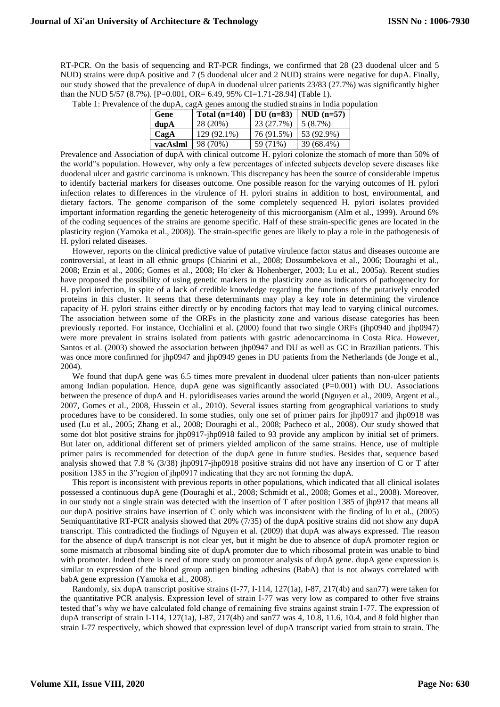RT-PCR. On the basis of sequencing and RT-PCR findings, we confirmed that 28 (23 duodenal ulcer and 5 NUD) strains were dupA positive and 7 (5 duodenal ulcer and 2 NUD) strains were negative for dupA. Finally, our study showed that the prevalence of dupA in duodenal ulcer patients 23/83 (27.7%) was significantly higher than the NUD 5/57 (8.7%). [P=0.001, OR= 6.49, 95% CI=1.71-28.94] (Table 1).

| Gene            | Total $(n=140)$                                                      | DU $(n=83)$                            | $NUD (n=57)$ |
|-----------------|----------------------------------------------------------------------|----------------------------------------|--------------|
| $d$ up $\bf{A}$ | 28 (20%)                                                             | 23 (27.7%)                             | $5(8.7\%)$   |
| CagA            | 129 (92.1%)                                                          | 76 (91.5%)                             | 53 (92.9%)   |
| vacAslml        | 98 (70%)                                                             | 59 (71%)                               | 39 (68.4%)   |
|                 | $\alpha$ and $\alpha$ are as a set of $\alpha$ . The set of $\alpha$ | $\mathbf{v}$ $\mathbf{v}$ $\mathbf{v}$ |              |

Table 1: Prevalence of the dupA, cagA genes among the studied strains in India population

Prevalence and Association of dupA with clinical outcome H. pylori colonize the stomach of more than 50% of the world"s population. However, why only a few percentages of infected subjects develop severe diseases like duodenal ulcer and gastric carcinoma is unknown. This discrepancy has been the source of considerable impetus to identify bacterial markers for diseases outcome. One possible reason for the varying outcomes of H. pylori infection relates to differences in the virulence of H. pylori strains in addition to host, environmental, and dietary factors. The genome comparison of the some completely sequenced H. pylori isolates provided important information regarding the genetic heterogeneity of this microorganism (Alm et al., 1999). Around 6% of the coding sequences of the strains are genome specific. Half of these strain-specific genes are located in the plasticity region (Yamoka et al., 2008)). The strain-specific genes are likely to play a role in the pathogenesis of H. pylori related diseases.

However, reports on the clinical predictive value of putative virulence factor status and diseases outcome are controversial, at least in all ethnic groups (Chiarini et al., 2008; Dossumbekova et al., 2006; Douraghi et al., 2008; Erzin et al., 2006; Gomes et al., 2008; Ho¨cker & Hohenberger, 2003; Lu et al., 2005a). Recent studies have proposed the possibility of using genetic markers in the plasticity zone as indicators of pathogenecity for H. pylori infection, in spite of a lack of credible knowledge regarding the functions of the putatively encoded proteins in this cluster. It seems that these determinants may play a key role in determining the virulence capacity of H. pylori strains either directly or by encoding factors that may lead to varying clinical outcomes. The association between some of the ORFs in the plasticity zone and various disease categories has been previously reported. For instance, Occhialini et al. (2000) found that two single ORFs (jhp0940 and jhp0947) were more prevalent in strains isolated from patients with gastric adenocarcinoma in Costa Rica. However, Santos et al. (2003) showed the association between jhp0947 and DU as well as GC in Brazilian patients. This was once more confirmed for jhp0947 and jhp0949 genes in DU patients from the Netherlands (de Jonge et al., 2004).

We found that dupA gene was 6.5 times more prevalent in duodenal ulcer patients than non-ulcer patients among Indian population. Hence, dupA gene was significantly associated  $(P=0.001)$  with DU. Associations between the presence of dupA and H. pyloridiseases varies around the world (Nguyen et al., 2009, Argent et al., 2007, Gomes et al., 2008, Hussein et al., 2010). Several issues starting from geographical variations to study procedures have to be considered. In some studies, only one set of primer pairs for jhp0917 and jhp0918 was used (Lu et al., 2005; Zhang et al., 2008; Douraghi et al., 2008; Pacheco et al., 2008). Our study showed that some dot blot positive strains for jhp0917-jhp0918 failed to 93 provide any amplicon by initial set of primers. But later on, additional different set of primers yielded amplicon of the same strains. Hence, use of multiple primer pairs is recommended for detection of the dupA gene in future studies. Besides that, sequence based analysis showed that 7.8 % (3/38) jhp0917-jhp0918 positive strains did not have any insertion of C or T after position 1385 in the 3"region of jhp0917 indicating that they are not forming the dupA.

This report is inconsistent with previous reports in other populations, which indicated that all clinical isolates possessed a continuous dupA gene (Douraghi et al., 2008; Schmidt et al., 2008; Gomes et al., 2008). Moreover, in our study not a single strain was detected with the insertion of T after position 1385 of jhp917 that means all our dupA positive strains have insertion of C only which was inconsistent with the finding of lu et al., (2005) Semiquantitative RT-PCR analysis showed that 20% (7/35) of the dupA positive strains did not show any dupA transcript. This contradicted the findings of Nguyen et al. (2009) that dupA was always expressed. The reason for the absence of dupA transcript is not clear yet, but it might be due to absence of dupA promoter region or some mismatch at ribosomal binding site of dupA promoter due to which ribosomal protein was unable to bind with promoter. Indeed there is need of more study on promoter analysis of dupA gene. dupA gene expression is similar to expression of the blood group antigen binding adhesins (BabA) that is not always correlated with babA gene expression (Yamoka et al., 2008).

Randomly, six dupA transcript positive strains (I-77, I-114, 127(1a), I-87, 217(4b) and san77) were taken for the quantitative PCR analysis. Expression level of strain I-77 was very low as compared to other five strains tested that"s why we have calculated fold change of remaining five strains against strain I-77. The expression of dupA transcript of strain I-114, 127(1a), I-87, 217(4b) and san77 was 4, 10.8, 11.6, 10.4, and 8 fold higher than strain I-77 respectively, which showed that expression level of dupA transcript varied from strain to strain. The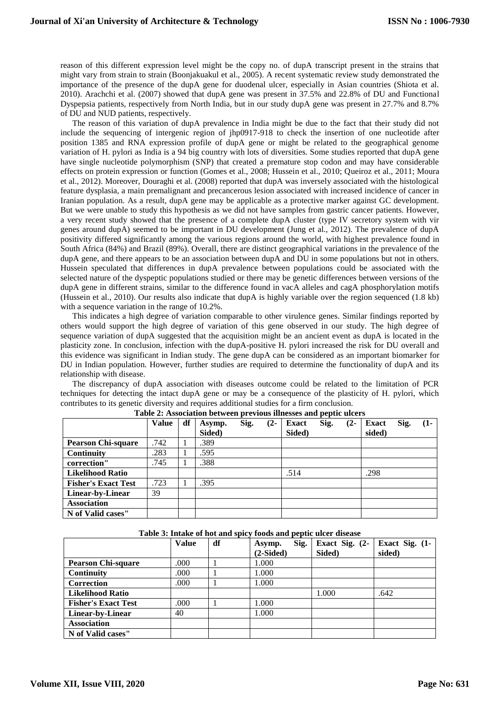reason of this different expression level might be the copy no. of dupA transcript present in the strains that might vary from strain to strain (Boonjakuakul et al., 2005). A recent systematic review study demonstrated the importance of the presence of the dupA gene for duodenal ulcer, especially in Asian countries (Shiota et al. 2010). Arachchi et al. (2007) showed that dupA gene was present in 37.5% and 22.8% of DU and Functional Dyspepsia patients, respectively from North India, but in our study dupA gene was present in 27.7% and 8.7% of DU and NUD patients, respectively.

The reason of this variation of dupA prevalence in India might be due to the fact that their study did not include the sequencing of intergenic region of jhp0917-918 to check the insertion of one nucleotide after position 1385 and RNA expression profile of dupA gene or might be related to the geographical genome variation of H. pylori as India is a 94 big country with lots of diversities. Some studies reported that dupA gene have single nucleotide polymorphism (SNP) that created a premature stop codon and may have considerable effects on protein expression or function (Gomes et al., 2008; Hussein et al., 2010; Queiroz et al., 2011; Moura et al., 2012). Moreover, Douraghi et al. (2008) reported that dupA was inversely associated with the histological feature dysplasia, a main premalignant and precancerous lesion associated with increased incidence of cancer in Iranian population. As a result, dupA gene may be applicable as a protective marker against GC development. But we were unable to study this hypothesis as we did not have samples from gastric cancer patients. However, a very recent study showed that the presence of a complete dupA cluster (type IV secretory system with vir genes around dupA) seemed to be important in DU development (Jung et al., 2012). The prevalence of dupA positivity differed significantly among the various regions around the world, with highest prevalence found in South Africa (84%) and Brazil (89%). Overall, there are distinct geographical variations in the prevalence of the dupA gene, and there appears to be an association between dupA and DU in some populations but not in others. Hussein speculated that differences in dupA prevalence between populations could be associated with the selected nature of the dyspeptic populations studied or there may be genetic differences between versions of the dupA gene in different strains, similar to the difference found in vacA alleles and cagA phosphorylation motifs (Hussein et al., 2010). Our results also indicate that dupA is highly variable over the region sequenced (1.8 kb) with a sequence variation in the range of 10.2%.

This indicates a high degree of variation comparable to other virulence genes. Similar findings reported by others would support the high degree of variation of this gene observed in our study. The high degree of sequence variation of dupA suggested that the acquisition might be an ancient event as dupA is located in the plasticity zone. In conclusion, infection with the dupA-positive H. pylori increased the risk for DU overall and this evidence was significant in Indian study. The gene dupA can be considered as an important biomarker for DU in Indian population. However, further studies are required to determine the functionality of dupA and its relationship with disease.

The discrepancy of dupA association with diseases outcome could be related to the limitation of PCR techniques for detecting the intact dupA gene or may be a consequence of the plasticity of H. pylori, which contributes to its genetic diversity and requires additional studies for a firm conclusion.

|                            | <b>Value</b> | df | Asymp. | Sig. | $(2-$ | <b>Exact</b> | Sig. | $(2-$ | <b>Exact</b> | Sig. | $(1 -$ |
|----------------------------|--------------|----|--------|------|-------|--------------|------|-------|--------------|------|--------|
|                            |              |    | Sided) |      |       | Sided)       |      |       | sided)       |      |        |
| <b>Pearson Chi-square</b>  | .742         | 1  | .389   |      |       |              |      |       |              |      |        |
| <b>Continuity</b>          | .283         |    | .595   |      |       |              |      |       |              |      |        |
| correction"                | .745         | -1 | .388   |      |       |              |      |       |              |      |        |
| <b>Likelihood Ratio</b>    |              |    |        |      |       | .514         |      |       | .298         |      |        |
| <b>Fisher's Exact Test</b> | .723         |    | .395   |      |       |              |      |       |              |      |        |
| Linear-by-Linear           | 39           |    |        |      |       |              |      |       |              |      |        |
| <b>Association</b>         |              |    |        |      |       |              |      |       |              |      |        |
| N of Valid cases"          |              |    |        |      |       |              |      |       |              |      |        |

|  |  | Table 2: Association between previous illnesses and peptic ulcers |
|--|--|-------------------------------------------------------------------|
|--|--|-------------------------------------------------------------------|

| Table 3: Intake of hot and spicy foods and peptic ulcer disease |  |  |
|-----------------------------------------------------------------|--|--|
|-----------------------------------------------------------------|--|--|

|                            | <b>Value</b> | df | Sig.<br>Asymp. | Exact Sig. (2- | Exact Sig. (1- |
|----------------------------|--------------|----|----------------|----------------|----------------|
|                            |              |    | $(2-Sided)$    | Sided)         | sided)         |
| <b>Pearson Chi-square</b>  | .000         |    | 1.000          |                |                |
| Continuity                 | .000         |    | 1.000          |                |                |
| Correction                 | .000         |    | 1.000          |                |                |
| <b>Likelihood Ratio</b>    |              |    |                | 1.000          | .642           |
| <b>Fisher's Exact Test</b> | .000         |    | 1.000          |                |                |
| Linear-by-Linear           | 40           |    | 1.000          |                |                |
| <b>Association</b>         |              |    |                |                |                |
| N of Valid cases"          |              |    |                |                |                |